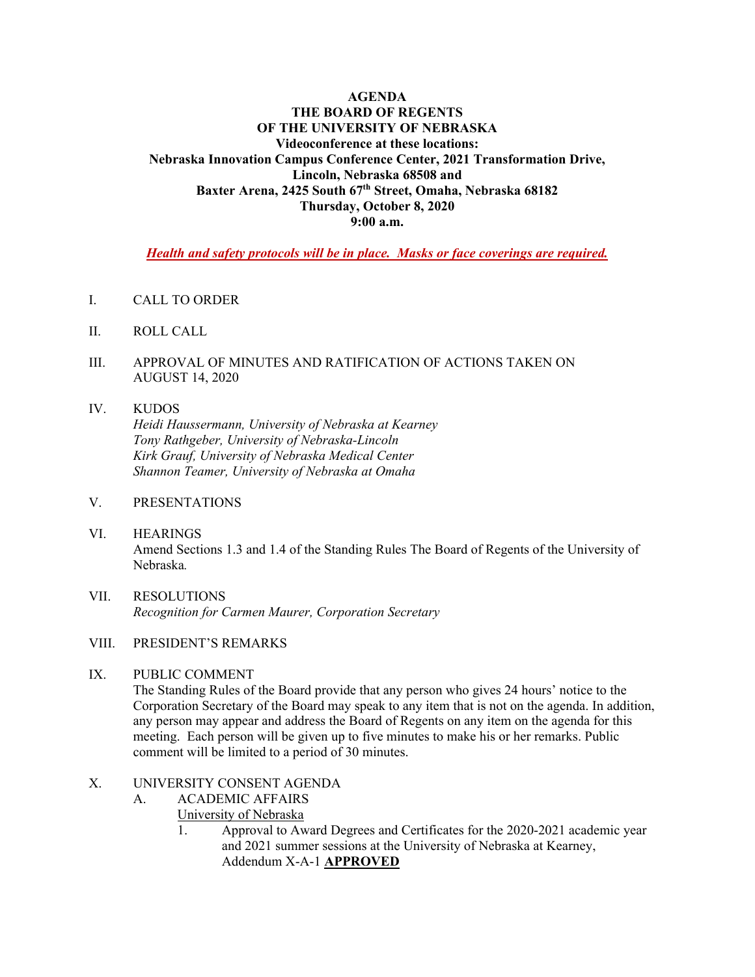#### **AGENDA THE BOARD OF REGENTS OF THE UNIVERSITY OF NEBRASKA Videoconference at these locations: Nebraska Innovation Campus Conference Center, 2021 Transformation Drive, Lincoln, Nebraska 68508 and Baxter Arena, 2425 South 67th Street, Omaha, Nebraska 68182 Thursday, October 8, 2020 9:00 a.m.**

*Health and safety protocols will be in place. Masks or face coverings are required.* 

- I. CALL TO ORDER
- II. ROLL CALL
- III. APPROVAL OF MINUTES AND RATIFICATION OF ACTIONS TAKEN ON AUGUST 14, 2020

### IV. KUDOS *Heidi Haussermann, University of Nebraska at Kearney Tony Rathgeber, University of Nebraska-Lincoln Kirk Grauf, University of Nebraska Medical Center Shannon Teamer, University of Nebraska at Omaha*

- V. PRESENTATIONS
- VI. HEARINGS Amend Sections 1.3 and 1.4 of the Standing Rules The Board of Regents of the University of Nebraska*.*
- VII. RESOLUTIONS *Recognition for Carmen Maurer, Corporation Secretary*

#### VIII. PRESIDENT'S REMARKS

#### IX. PUBLIC COMMENT

 The Standing Rules of the Board provide that any person who gives 24 hours' notice to the Corporation Secretary of the Board may speak to any item that is not on the agenda. In addition, any person may appear and address the Board of Regents on any item on the agenda for this meeting. Each person will be given up to five minutes to make his or her remarks. Public comment will be limited to a period of 30 minutes.

#### X. UNIVERSITY CONSENT AGENDA

- A. ACADEMIC AFFAIRS
	- University of Nebraska
		- 1. Approval to Award Degrees and Certificates for the 2020-2021 academic year and 2021 summer sessions at the University of Nebraska at Kearney, Addendum X-A-1 **APPROVED**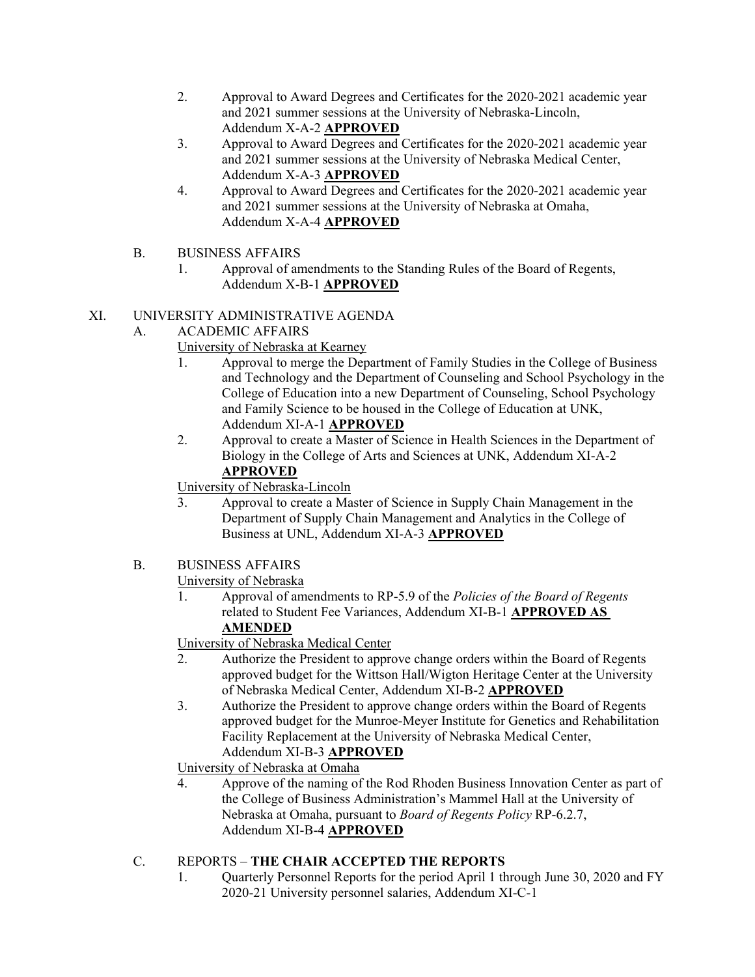- 2. Approval to Award Degrees and Certificates for the 2020-2021 academic year and 2021 summer sessions at the University of Nebraska-Lincoln, Addendum X-A-2 **APPROVED**
- 3. Approval to Award Degrees and Certificates for the 2020-2021 academic year and 2021 summer sessions at the University of Nebraska Medical Center, Addendum X-A-3 **APPROVED**
- 4. Approval to Award Degrees and Certificates for the 2020-2021 academic year and 2021 summer sessions at the University of Nebraska at Omaha, Addendum X-A-4 **APPROVED**
- B. BUSINESS AFFAIRS
	- 1. Approval of amendments to the Standing Rules of the Board of Regents, Addendum X-B-1 **APPROVED**

# XI. UNIVERSITY ADMINISTRATIVE AGENDA

- A. ACADEMIC AFFAIRS
	- University of Nebraska at Kearney
	- 1. Approval to merge the Department of Family Studies in the College of Business and Technology and the Department of Counseling and School Psychology in the College of Education into a new Department of Counseling, School Psychology and Family Science to be housed in the College of Education at UNK, Addendum XI-A-1 **APPROVED**
	- 2. Approval to create a Master of Science in Health Sciences in the Department of Biology in the College of Arts and Sciences at UNK, Addendum XI-A-2 **APPROVED**

University of Nebraska-Lincoln

 3. Approval to create a Master of Science in Supply Chain Management in the Department of Supply Chain Management and Analytics in the College of Business at UNL, Addendum XI-A-3 **APPROVED**

### B. BUSINESS AFFAIRS

University of Nebraska

1. Approval of amendments to RP-5.9 of the *Policies of the Board of Regents* related to Student Fee Variances, Addendum XI-B-1 **APPROVED AS AMENDED**

University of Nebraska Medical Center

- 2. Authorize the President to approve change orders within the Board of Regents approved budget for the Wittson Hall/Wigton Heritage Center at the University of Nebraska Medical Center, Addendum XI-B-2 **APPROVED**
- 3. Authorize the President to approve change orders within the Board of Regents approved budget for the Munroe-Meyer Institute for Genetics and Rehabilitation Facility Replacement at the University of Nebraska Medical Center, Addendum XI-B-3 **APPROVED**
- University of Nebraska at Omaha
- 4. Approve of the naming of the Rod Rhoden Business Innovation Center as part of the College of Business Administration's Mammel Hall at the University of Nebraska at Omaha, pursuant to *Board of Regents Policy* RP-6.2.7, Addendum XI-B-4 **APPROVED**

# C. REPORTS – **THE CHAIR ACCEPTED THE REPORTS**

1. Quarterly Personnel Reports for the period April 1 through June 30, 2020 and FY 2020-21 University personnel salaries, Addendum XI-C-1